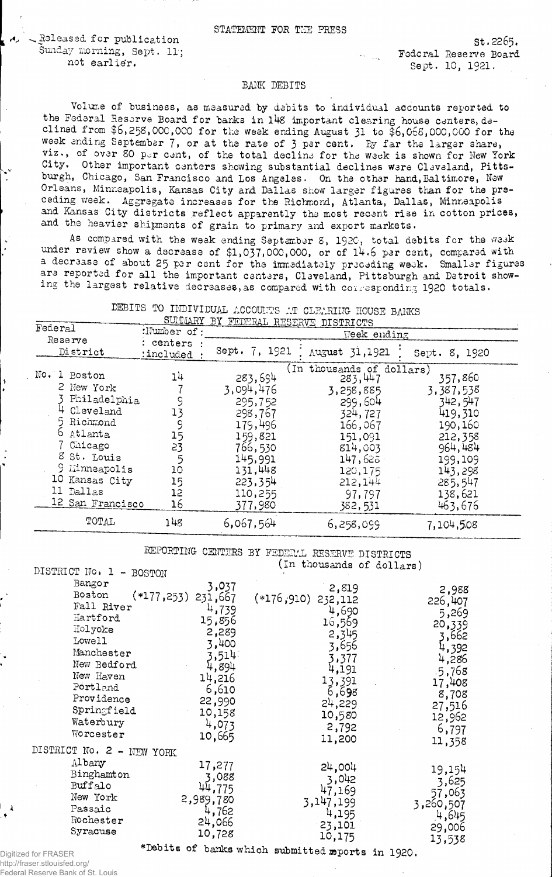Released for publication<br>Sunday morning, Sept. 11;

## **BANK DEBITS**

Volume of business, as measured by debits to individual accounts reported to the Federal Reserve Board for banks in 148 important clearing house centers, declined from \$6,258,000,000 for the week ending August 31 to \$6,068,000,000 for the week ending September 7, or at the rate of 3 per cent. By far the larger share, viz., of over 80 per cent, of the total decline for the week is shown for New York City. Other important centers showing substantial declines were Cleveland, Pittsburgh, Chicago, San Francisco and Los Angeles. On the other hand, Baltimore, New Orleans, Minneapolis, Kansas City and Dallas show larger figures than for the preceding week. Aggregate increases for the Richmond, Atlanta, Dallas, Minneapolis and Kansas City districts reflect apparently the most recent rise in cotton prices, and the heavier shipments of grain to primary and export markets.

As compared with the week ending September 8, 1920, total debits for the week under review show a decrease of \$1,037,000,000, or of 14.6 per cent, compared with a decrease of about 25 per cent for the immediately preceding week. Smaller figures are reported for all the important centers, Cleveland, Pittsburgh and Detroit showing the largest relative decreases, as compared with corresponding 1920 totals.

|  |  | DEBITS TO INDIVIDUAL ACCOUNTS AT CLEARING HOUSE BANKS |  |  |
|--|--|-------------------------------------------------------|--|--|
|  |  |                                                       |  |  |

|                                                                                                                                                                                                                               |  |  | SUMMARY BY FEDERAL RESERVE DISTRICTS |  |
|-------------------------------------------------------------------------------------------------------------------------------------------------------------------------------------------------------------------------------|--|--|--------------------------------------|--|
| . The set of the company expressions of the company of the company of the set of the company of the company of the company of the company of the company of the company of the company of the company of the company of the c |  |  |                                      |  |

| Federal<br>Reserve                                                                                                                                                           | :Number of:                                                         |                                                                                                                                    | Week ending                                                                                                                                                    |                                                                                                                                     |
|------------------------------------------------------------------------------------------------------------------------------------------------------------------------------|---------------------------------------------------------------------|------------------------------------------------------------------------------------------------------------------------------------|----------------------------------------------------------------------------------------------------------------------------------------------------------------|-------------------------------------------------------------------------------------------------------------------------------------|
| District                                                                                                                                                                     | : centers<br>:included                                              | Sept. 7, 1921                                                                                                                      | August 31,1921                                                                                                                                                 | Sept. 8, 1920                                                                                                                       |
| No. 1 Boston<br>2 New York<br>Philadelphia<br>Cleveland<br>Richmond<br>Atlanta<br>Chicago<br>8 St. Louis<br>9 Minneapolis<br>10 Kansas City<br>11 Dallas<br>12 San Francisco | 14<br>13<br>9<br>15<br>23<br>$\overline{5}$<br>10<br>15<br>12<br>16 | 283,694<br>3,094,476<br>295,752<br>298,767<br>179,496<br>159,821<br>766,530<br>145,991<br>131,448<br>223,354<br>110,255<br>377,980 | (In thousands of dollars)<br>283,447<br>3,258,885<br>299,604<br>324,727<br>166,067<br>151,091<br>814,003<br>147,625<br>120,175<br>212,144<br>97,797<br>382,531 | 357,860<br>3,387,538<br>342,547<br>419,310<br>190,160<br>212,358<br>964, 484<br>199,109<br>143,298<br>285,547<br>138,621<br>463,676 |
| TOTAL                                                                                                                                                                        | 148                                                                 | 6,067,564                                                                                                                          | 6,258,099                                                                                                                                                      | 7,104,508                                                                                                                           |

REPORTING CENTERS BY FEDERAL RESERVE DISTRICTS<br>(In thousands of dollars)

| DISTRICT No. 1 - BOSTON                                                                                                                                                                      |                                                                                                                                    | / THE AND MODING OF MATTSTRI                                                                                                                    |                                                                                                                                    |
|----------------------------------------------------------------------------------------------------------------------------------------------------------------------------------------------|------------------------------------------------------------------------------------------------------------------------------------|-------------------------------------------------------------------------------------------------------------------------------------------------|------------------------------------------------------------------------------------------------------------------------------------|
| Bangor<br>Boston<br>$(*177,253)$<br>Fall River<br>Hartford<br>Holyoke<br>Lowell<br>Manchester<br>New Bedford<br>New Haven<br>Portland<br>Providence<br>Springfield<br>Waterbury<br>Worcester | 3,037<br>231,667<br>4,739<br>15,856<br>2,289<br>3,400<br>3,514.<br>4,894<br>14,216<br>6,610<br>22,990<br>10,158<br>4,073<br>10,665 | 2,819<br>$(*176, 910)$ 232,112<br>4,690<br>16,569<br>2,345<br>3,656<br>3,377<br>4,191<br>13,391<br>6,698<br>24,229<br>10,580<br>2,792<br>11,200 | 2,988<br>226,407<br>5,269<br>20,339<br>3,662<br>4,392<br>4,286<br>.5,768<br>17,408<br>8,708<br>27,516<br>12,962<br>6,797<br>11,358 |
| DISTRICT No. 2 - NEW YORK                                                                                                                                                                    |                                                                                                                                    |                                                                                                                                                 |                                                                                                                                    |
| Albany<br>Binghamton<br>Buffalo<br>New York<br>Passaic<br>Rochester<br>Syracuse                                                                                                              | 17,277<br>3,088<br>44,775<br>2,989,780<br>4,762<br>24,066<br>10,728                                                                | 24,004<br>3,042<br>47,169<br>3,147,199<br>4,195<br>23,101<br>10,175                                                                             | 19,154<br>3,625<br>57,063<br>3,260,507<br>4,645<br>29,006<br>13,538                                                                |
|                                                                                                                                                                                              |                                                                                                                                    | *Debits of banks which submitted percepts in 1020                                                                                               |                                                                                                                                    |

Digitized for FRASER http://fraser.stlouisfed.org/ Federal Reserve Bank of St. Louis  $\texttt{ittea} \texttt{m} \texttt{ports} \texttt{ in } 1920.$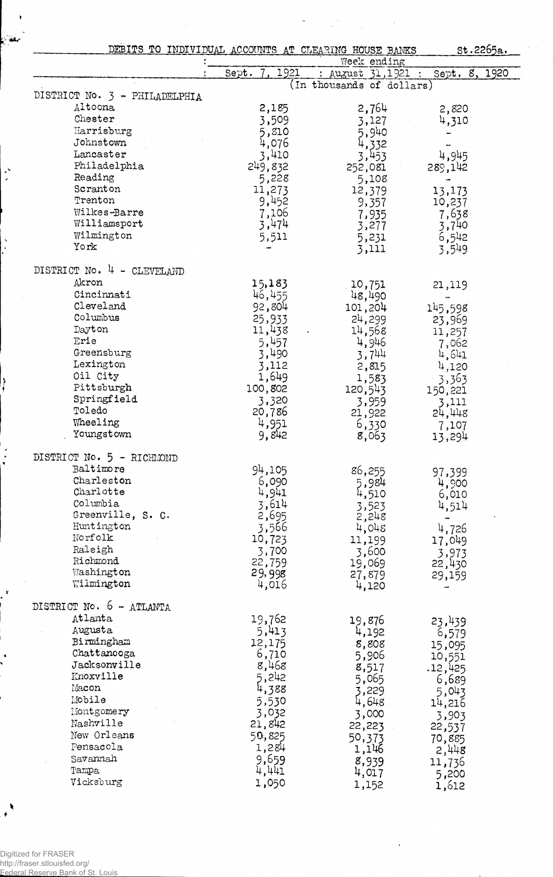| DEBITS TO INDIVIDUAL ACCOUNTS AT CLEARING HOUSE BANKS |               |                           | st.2265a.     |
|-------------------------------------------------------|---------------|---------------------------|---------------|
|                                                       |               | Week ending               |               |
|                                                       | 1921<br>Sept. | : August 31,1921 :        | Sept. 8, 1920 |
| DISTRICT No. 3 - PHILADELPHIA                         |               | (In thousands of dollars) |               |
| Altoona                                               | 2,185         | 2,764                     | 2,820         |
| Chester                                               | 3,509         | 3,127                     | 4,310         |
| Harrisburg                                            | 5,810         | 5,940                     |               |
| Johnstown                                             | 4,076         | 4,332                     |               |
| Lancaster                                             | 3,410         | 3,453                     | 4,945         |
| Philadelphia                                          | 249,832       | 252,081                   | 289,142       |
| Reading                                               | 5,228         | 5,108                     |               |
| Scranton                                              | 11,273        | 12,379                    | 13,173        |
| Trenton                                               | 9,452         | 9,357                     | 10,237        |
| Wilkes-Barre                                          | 7,106         | 7,935                     | 7,638         |
| Williamsport                                          | 3,474         | 3,277                     | 3,740         |
| Wilmington                                            | 5,511         | 5,231                     | 6,542         |
| York                                                  |               | 3,111                     | 3,549         |
| DISTRICT No. 4 - CLEVELAND                            |               |                           |               |
| Akron                                                 | 15,183        |                           |               |
| Cincinnati                                            | 46,455        | 10,751<br>48,490          | 21,119        |
| Cleveland                                             | 92,804        | 101,204                   | 145,598       |
| Columbus                                              | 25,933        | 24,299                    | 23,969        |
| Dayton                                                | 11,438        | 14,568                    | 11,257        |
| Erie                                                  | 5,457         | 4,946                     | 7,062         |
| Greensburg                                            | 3,490         | 3,744                     | 4,641         |
| Lexington                                             | 3,112         | 2,815                     | 4,120         |
| Oil City                                              | 1,649         | 1,583                     | 3,363         |
| Pittsburgh                                            | 100,802       | 120,543                   | 150,221       |
| Springfield                                           | 3,320         | 3,959                     | 3,111         |
| Toledo                                                | 20,786        | 21,922                    | 24,448        |
| Wheeling                                              | 4,951         | 6,330                     | 7,107         |
| Youngstown                                            | 9,842         | 8,063                     | 13,294        |
| DISTRICT No. 5 - RICHLOND                             |               |                           |               |
| Baltimore                                             | 94,105        | 86,255                    | 97,399        |
| Charleston                                            | 6,090         | 5,984                     | 4,900         |
| Charlotte                                             | 4,941         | 4,510                     | 6,010         |
| Columbia                                              | 3,614         | 3,523                     | 4,514         |
| Greenville, S. C.                                     | 2,695         | 2,248                     |               |
| Huntington                                            | 3,566         | 4,048                     | 4,726         |
| Norfolk                                               | 10,723        | 11,199                    | 17,049        |
| Raleigh                                               | 3,700         | 3,600                     | 3,973         |
| Richmond                                              | 22,759        | 19,069                    | 22,430        |
| Washington                                            | 29,998        | 27,879                    | 29,159        |
| Wilmington                                            | 4,016         | 4,120                     |               |
| DISTRICT No. 6 - ATLANTA                              |               |                           |               |
| Atlanta                                               | 19,762        | 19,876                    | 23,439        |
| Augusta                                               | 5,413         | 4,192                     | 6,579         |
| Birmingham                                            | 12,175        | 8,808                     | 15,095        |
| Chattanooga                                           | 6,710         | 5,906                     | 10,551        |
| Jacksonville                                          | 8,468         | 8,517                     | .12,425       |
| Knoxville                                             | 5,242         | 5,065                     | 6,689         |
| Macon<br>Mobile                                       | 4,388         | 3,229                     | 5,043         |
|                                                       | 5,530         | 4,648                     | 14,216        |
| Montgomery<br>Nashville                               | 3,032         | 3,000                     | 3,903         |
| New Orleans                                           | 21,842        | 22,223                    | 22,537        |
| Pensacola                                             | 50,825        | 50,373                    | 70,885        |
| Savannah                                              | 1,284         | 1,146                     | 2,448         |
| Tampa                                                 | 9,659         | 8,939                     | 11,736        |
| Vicksburg                                             | 4,441         | 4,017                     | 5,200         |
|                                                       | 1,050         | 1,152                     | 1,612         |

 $\label{eq:2} \frac{\sigma_{\rm{eff}}}{\sigma_{\rm{eff}}}\approx 1.2\pm0.01$ 

÷

 $\sim$ 

 $\frac{1}{2}$ 

 $\frac{1}{2}$ 

 $\mathbf{r}$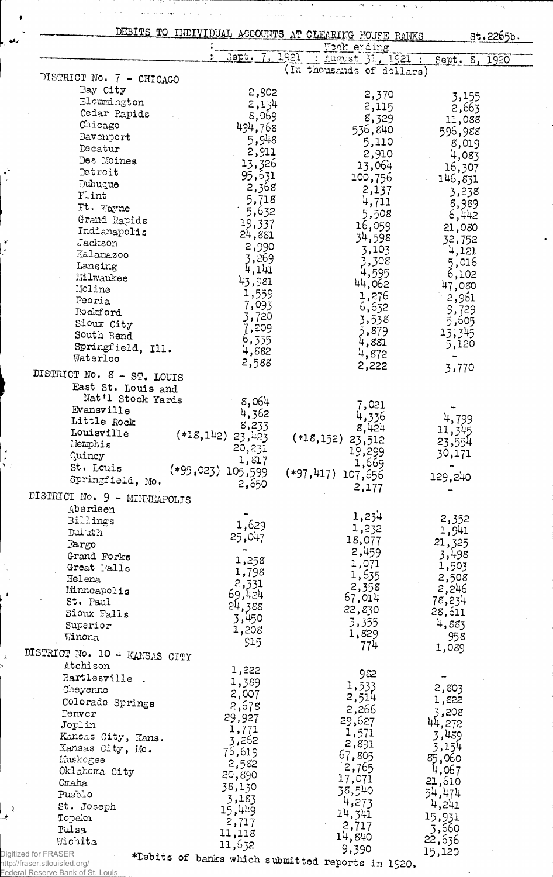DERICS DO INDIVIDUAL ACCOUNTER  $m \times m$ 

T,

 $\hat{f}$  , where the contribution of the contribution of the contribution of  $\hat{f}$ 

<span id="page-2-0"></span>

|                                 |                       | DESITS TO INDIVIDUAL ACCOUNTS AT CLEARING HOUSE PANKS<br>Week ending | <u>st.2265b,</u> |
|---------------------------------|-----------------------|----------------------------------------------------------------------|------------------|
|                                 | Gept.                 | 1921<br>1 Lugust 31, 1921 :                                          | Sept. 8, 1920    |
| DISTRICT No. 7 - CHICAGO        |                       | (In thousands of dollars)                                            |                  |
| Bay City                        | 2,902                 |                                                                      |                  |
| Blowmington                     | 2,134                 | 2,370                                                                | 3,155            |
| Cedar Rapids                    | 8,069                 | 2,115                                                                | 2,663            |
| Chicago                         | 494,768               | 8,329                                                                | 11,088           |
| Davenport                       | 5,948                 | 536,840                                                              | 596,988          |
| Decatur                         |                       | 5,110                                                                | 8,019            |
| Des Moines                      | 2,911                 | 2,910                                                                | 4,083            |
| Detroit                         | 13,326                | 13,064                                                               | 16,307           |
| Dubuque                         | 95,631                | 100,756                                                              | 146,831          |
| Flint                           | 2,368                 | 2,137                                                                | 3,238            |
| Ft. Wayne                       | 5,718                 | 4,711                                                                | 8,989            |
| Grand Rapids                    | 5,632                 | 5,508                                                                | 6,442            |
| Indianapolis                    | 19,337                | 16,059                                                               | 21,080           |
| Jackson                         | 24,881                | 34,598                                                               | 32,752           |
| Kalamazoo                       | 2,990                 | 3,103                                                                | 4,121            |
| Lansing                         | 3,269<br>4,141        | 3,308                                                                | 5,016            |
| Milwaukee                       |                       | 4,595                                                                | 6,102            |
| Moline                          | 43,981                | 44,062                                                               | 47,080           |
| Peoria                          | 1,559                 | 1,276                                                                | 2,961            |
| Rockford                        | 7,093                 | 6,632                                                                | 9,729            |
| Sioux City                      | 3,720                 | 3,538                                                                | 5,605            |
| South Bend                      | 7,209                 | 5,879                                                                | 13,345           |
| Springfield, Ill.               | 6,355                 | 4,881                                                                | 5,120            |
| Waterloo                        | 4,882                 | 4,872                                                                |                  |
| DISTRICT No. 8 - ST. LOUIS      | 2,588                 | 2,222                                                                | 3,770            |
| East St. Louis and              |                       |                                                                      |                  |
| Nat'l Stock Yards               |                       |                                                                      |                  |
| Evansville                      | 8,064                 | 7,021                                                                |                  |
| Little Rock                     | 4,362                 | 4,336                                                                | 4,799            |
| Louisville                      | 8,233                 | 8,424                                                                | 11,345           |
| Memphis                         | $(*18,142)$<br>23,423 | $(*18,152)$<br>23,512                                                | 23,554           |
| Quincy                          | 20,231                | 19,299                                                               | 30,171           |
| St. Louis                       | 1,817                 | 1,669                                                                |                  |
| Springfield, Mo.                | $(*95,023)$ 105,599   | $(*97,417)$ 107,656                                                  | 129,240          |
| DISTRICT No. 9 - MINNEAPOLIS    | 2,650                 | 2,177                                                                |                  |
| Aberdeen                        |                       |                                                                      |                  |
| Billings                        |                       | 1,234                                                                | 2,352            |
| Duluth                          | 1,629                 | 1,232                                                                | 1,941            |
| Fargo                           | 25,047                | 18,077                                                               | 21,325           |
| Grand Forks                     |                       | 2,459                                                                | 3,498            |
| Great Falls                     | 1,258                 | 1,071                                                                | 1,503            |
| Helena                          | 1,798                 | 1,635                                                                | 2,508            |
| Minneapolis                     | 2,331<br>69,424       | 2,358                                                                | 2,246            |
| St. Paul                        |                       | 67,014                                                               | 78,234           |
| Sioux Falls                     | 24,388                | 22,830                                                               | 28,611           |
| Superior                        | 3,450                 | 3.355                                                                | 4,883            |
| Winona                          | 1,208                 | 1,829                                                                | 958              |
|                                 | 915                   | 774                                                                  | 1,089            |
| DISTRICT No. 10 - KANSAS CITY   |                       |                                                                      |                  |
| Atchison                        | 1,222                 | 982                                                                  |                  |
| Bartlesville.                   | 1,389                 | 1,533                                                                | 2,803            |
| Cheyenne                        | 2,007                 | 2,514                                                                | 1,822            |
| Colorado Springs                | 2,678                 | 2,266                                                                |                  |
| Tenver                          | 29,927                | 29,627                                                               | 3,208            |
| Joplin                          | 1,771                 | 1,571                                                                | 44,272           |
| Kansas City, Kans.              | 3,262                 | 2,891                                                                | 3,489            |
| Kansas City, Mo.                | 76,619                | 67,805                                                               | 3,154            |
| Muskogee                        | 2,582                 | 2,765                                                                | 85,060           |
| Oklahoma City                   | 20,890                | 17,071                                                               | 4,067            |
| Omaha                           | 38,130                | 38,540                                                               | 21,610           |
| Pueblo                          | 3,183                 | 4,273                                                                | 54,474           |
| St. Joseph                      | 15,449                | 14,341                                                               | 4,241            |
| Topeka                          | 2,717                 | 2,717                                                                | 15,931           |
|                                 |                       |                                                                      | 3,660            |
| Tulsa                           | 11,118                |                                                                      |                  |
| Wichita<br>Digitized for FRASER | 11,632                | 14,840<br>9,390<br>*Debits of banks which submitted reports in 1920. | 22,636<br>15,120 |